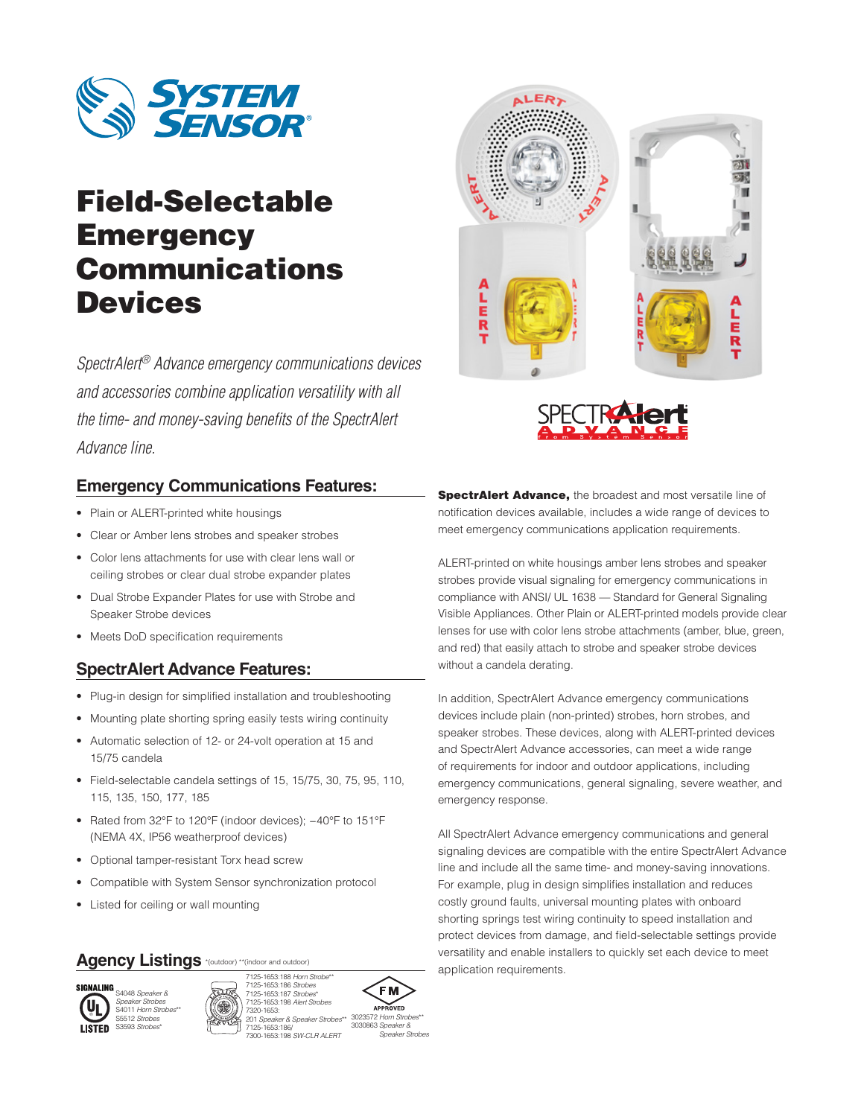

# Field-Selectable **Emergency** Communications **Devices**

*SpectrAlert® Advance emergency communications devices and accessories combine application versatility with all the time- and money-saving benefits of the SpectrAlert Advance line.*

### **Emergency Communications Features:**

- Plain or ALERT-printed white housings
- Clear or Amber lens strobes and speaker strobes
- Color lens attachments for use with clear lens wall or ceiling strobes or clear dual strobe expander plates
- Dual Strobe Expander Plates for use with Strobe and Speaker Strobe devices
- Meets DoD specification requirements

### **SpectrAlert Advance Features:**

- Plug-in design for simplified installation and troubleshooting
- Mounting plate shorting spring easily tests wiring continuity
- Automatic selection of 12- or 24-volt operation at 15 and 15/75 candela
- Field-selectable candela settings of 15, 15/75, 30, 75, 95, 110, 115, 135, 150, 177, 185
- Rated from 32°F to 120°F (indoor devices); −40°F to 151°F (NEMA 4X, IP56 weatherproof devices)
- Optional tamper-resistant Torx head screw
- Compatible with System Sensor synchronization protocol
- Listed for ceiling or wall mounting

### Agency Listings \*(outdoor) \*\*(indoor and outdoor)









3023572 Horn Strob 3030863 *Speaker & Speaker Strobes*





**SpectrAlert Advance, the broadest and most versatile line of** notification devices available, includes a wide range of devices to meet emergency communications application requirements.

ALERT-printed on white housings amber lens strobes and speaker strobes provide visual signaling for emergency communications in compliance with ANSI/ UL 1638 — Standard for General Signaling Visible Appliances. Other Plain or ALERT-printed models provide clear lenses for use with color lens strobe attachments (amber, blue, green, and red) that easily attach to strobe and speaker strobe devices without a candela derating.

In addition, SpectrAlert Advance emergency communications devices include plain (non-printed) strobes, horn strobes, and speaker strobes. These devices, along with ALERT-printed devices and SpectrAlert Advance accessories, can meet a wide range of requirements for indoor and outdoor applications, including emergency communications, general signaling, severe weather, and emergency response.

All SpectrAlert Advance emergency communications and general signaling devices are compatible with the entire SpectrAlert Advance line and include all the same time- and money-saving innovations. For example, plug in design simplifies installation and reduces costly ground faults, universal mounting plates with onboard shorting springs test wiring continuity to speed installation and protect devices from damage, and field-selectable settings provide versatility and enable installers to quickly set each device to meet application requirements.

*Speaker Strobes* S4011 *Horn Strobes*\*\* S5512 *Strobes* LISTED S3593 *Strobes*\*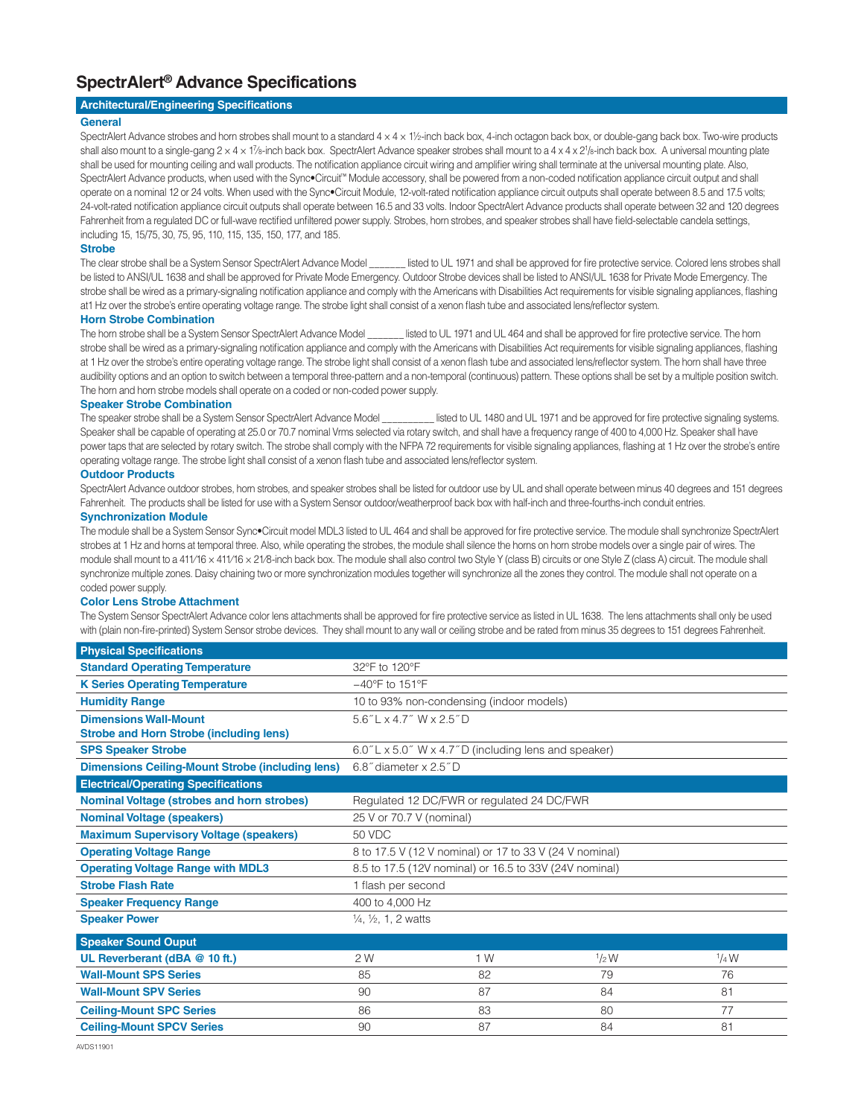### **SpectrAlert® Advance Specifications**

#### **Architectural/Engineering Specifications**

#### **General**

SpectrAlert Advance strobes and horn strobes shall mount to a standard  $4 \times 4 \times 1\frac{1}{2}$ -inch back box, 4-inch octagon back box, or double-gang back box. Two-wire products shall also mount to a single-gang 2 x 4 x 1%-inch back box. SpectrAlert Advance speaker strobes shall mount to a 4 x 4 x 21/8-inch back box. A universal mounting plate shall be used for mounting ceiling and wall products. The notification appliance circuit wiring and amplifier wiring shall terminate at the universal mounting plate. Also, SpectrAlert Advance products, when used with the Sync•Circuit™ Module accessory, shall be powered from a non-coded notification appliance circuit output and shall operate on a nominal 12 or 24 volts. When used with the Sync•Circuit Module, 12-volt-rated notification appliance circuit outputs shall operate between 8.5 and 17.5 volts; 24-volt-rated notification appliance circuit outputs shall operate between 16.5 and 33 volts. Indoor SpectrAlert Advance products shall operate between 32 and 120 degrees Fahrenheit from a regulated DC or full-wave rectified unfiltered power supply. Strobes, horn strobes, and speaker strobes shall have field-selectable candela settings, including 15, 15/75, 30, 75, 95, 110, 115, 135, 150, 177, and 185.

#### **Strobe**

The clear strobe shall be a System Sensor SpectrAlert Advance Model \_\_\_\_\_\_\_ listed to UL 1971 and shall be approved for fire protective service. Colored lens strobes shall be listed to ANSI/UL 1638 and shall be approved for Private Mode Emergency. Outdoor Strobe devices shall be listed to ANSI/UL 1638 for Private Mode Emergency. The strobe shall be wired as a primary-signaling notification appliance and comply with the Americans with Disabilities Act requirements for visible signaling appliances, flashing at1 Hz over the strobe's entire operating voltage range. The strobe light shall consist of a xenon flash tube and associated lens/reflector system.

#### **Horn Strobe Combination**

The horn strobe shall be a System Sensor SpectrAlert Advance Model \_\_\_\_\_\_\_ listed to UL 1971 and UL 464 and shall be approved for fire protective service. The horn strobe shall be wired as a primary-signaling notification appliance and comply with the Americans with Disabilities Act requirements for visible signaling appliances, flashing at 1 Hz over the strobe's entire operating voltage range. The strobe light shall consist of a xenon flash tube and associated lens/reflector system. The horn shall have three audibility options and an option to switch between a temporal three-pattern and a non-temporal (continuous) pattern. These options shall be set by a multiple position switch. The horn and horn strobe models shall operate on a coded or non-coded power supply.

#### **Speaker Strobe Combination**

The speaker strobe shall be a System Sensor SpectrAlert Advance Model \_\_\_\_\_\_\_\_\_\_\_ listed to UL 1480 and UL 1971 and be approved for fire protective signaling systems. Speaker shall be capable of operating at 25.0 or 70.7 nominal Vrms selected via rotary switch, and shall have a frequency range of 400 to 4,000 Hz. Speaker shall have power taps that are selected by rotary switch. The strobe shall comply with the NFPA 72 requirements for visible signaling appliances, flashing at 1 Hz over the strobe's entire operating voltage range. The strobe light shall consist of a xenon flash tube and associated lens/reflector system.

#### **Outdoor Products**

SpectrAlert Advance outdoor strobes, horn strobes, and speaker strobes shall be listed for outdoor use by UL and shall operate between minus 40 degrees and 151 degrees Fahrenheit. The products shall be listed for use with a System Sensor outdoor/weatherproof back box with half-inch and three-fourths-inch conduit entries.

#### **Synchronization Module**

The module shall be a System Sensor Sync•Circuit model MDL3 listed to UL 464 and shall be approved for fire protective service. The module shall synchronize SpectrAlert strobes at 1 Hz and horns at temporal three. Also, while operating the strobes, the module shall silence the horns on horn strobe models over a single pair of wires. The module shall mount to a 411/16 x 411/16 x 21/8-inch back box. The module shall also control two Style Y (class B) circuits or one Style Z (class A) circuit. The module shall synchronize multiple zones. Daisy chaining two or more synchronization modules together will synchronize all the zones they control. The module shall not operate on a coded power supply.

#### **Color Lens Strobe Attachment**

The System Sensor SpectrAlert Advance color lens attachments shall be approved for fire protective service as listed in UL 1638. The lens attachments shall only be used with (plain non-fire-printed) System Sensor strobe devices. They shall mount to any wall or ceiling strobe and be rated from minus 35 degrees to 151 degrees Fahrenheit.

| <b>Physical Specifications</b>                          |                                                         |                                                     |       |         |  |  |
|---------------------------------------------------------|---------------------------------------------------------|-----------------------------------------------------|-------|---------|--|--|
| <b>Standard Operating Temperature</b>                   | 32°F to 120°F                                           |                                                     |       |         |  |  |
| <b>K Series Operating Temperature</b>                   | $-40^{\circ}$ F to 151 $^{\circ}$ F                     |                                                     |       |         |  |  |
| <b>Humidity Range</b>                                   |                                                         | 10 to 93% non-condensing (indoor models)            |       |         |  |  |
| <b>Dimensions Wall-Mount</b>                            | $5.6"$ L x 4.7" W x 2.5" D                              |                                                     |       |         |  |  |
| <b>Strobe and Horn Strobe (including lens)</b>          |                                                         |                                                     |       |         |  |  |
| <b>SPS Speaker Strobe</b>                               |                                                         | 6.0"L x 5.0" W x 4.7"D (including lens and speaker) |       |         |  |  |
| <b>Dimensions Ceiling-Mount Strobe (including lens)</b> | 6.8" diameter x 2.5" D                                  |                                                     |       |         |  |  |
| <b>Electrical/Operating Specifications</b>              |                                                         |                                                     |       |         |  |  |
| <b>Nominal Voltage (strobes and horn strobes)</b>       |                                                         | Regulated 12 DC/FWR or regulated 24 DC/FWR          |       |         |  |  |
| <b>Nominal Voltage (speakers)</b>                       | 25 V or 70.7 V (nominal)                                |                                                     |       |         |  |  |
| <b>Maximum Supervisory Voltage (speakers)</b>           | 50 VDC                                                  |                                                     |       |         |  |  |
| <b>Operating Voltage Range</b>                          | 8 to 17.5 V (12 V nominal) or 17 to 33 V (24 V nominal) |                                                     |       |         |  |  |
| <b>Operating Voltage Range with MDL3</b>                | 8.5 to 17.5 (12V nominal) or 16.5 to 33V (24V nominal)  |                                                     |       |         |  |  |
| <b>Strobe Flash Rate</b>                                | 1 flash per second                                      |                                                     |       |         |  |  |
| <b>Speaker Frequency Range</b>                          | 400 to 4,000 Hz                                         |                                                     |       |         |  |  |
| <b>Speaker Power</b>                                    | $\frac{1}{4}$ , $\frac{1}{2}$ , 1, 2 watts              |                                                     |       |         |  |  |
| <b>Speaker Sound Ouput</b>                              |                                                         |                                                     |       |         |  |  |
| UL Reverberant (dBA @ 10 ft.)                           | 2 W                                                     | 1 W                                                 | 1/2 W | $1/4$ W |  |  |
| <b>Wall-Mount SPS Series</b>                            | 85                                                      | 82                                                  | 79    | 76      |  |  |
| <b>Wall-Mount SPV Series</b>                            | 90                                                      | 87                                                  | 84    | 81      |  |  |
| <b>Ceiling-Mount SPC Series</b>                         | 86                                                      | 83                                                  | 80    | 77      |  |  |
| <b>Ceiling-Mount SPCV Series</b>                        | 90                                                      | 87                                                  | 84    | 81      |  |  |
|                                                         |                                                         |                                                     |       |         |  |  |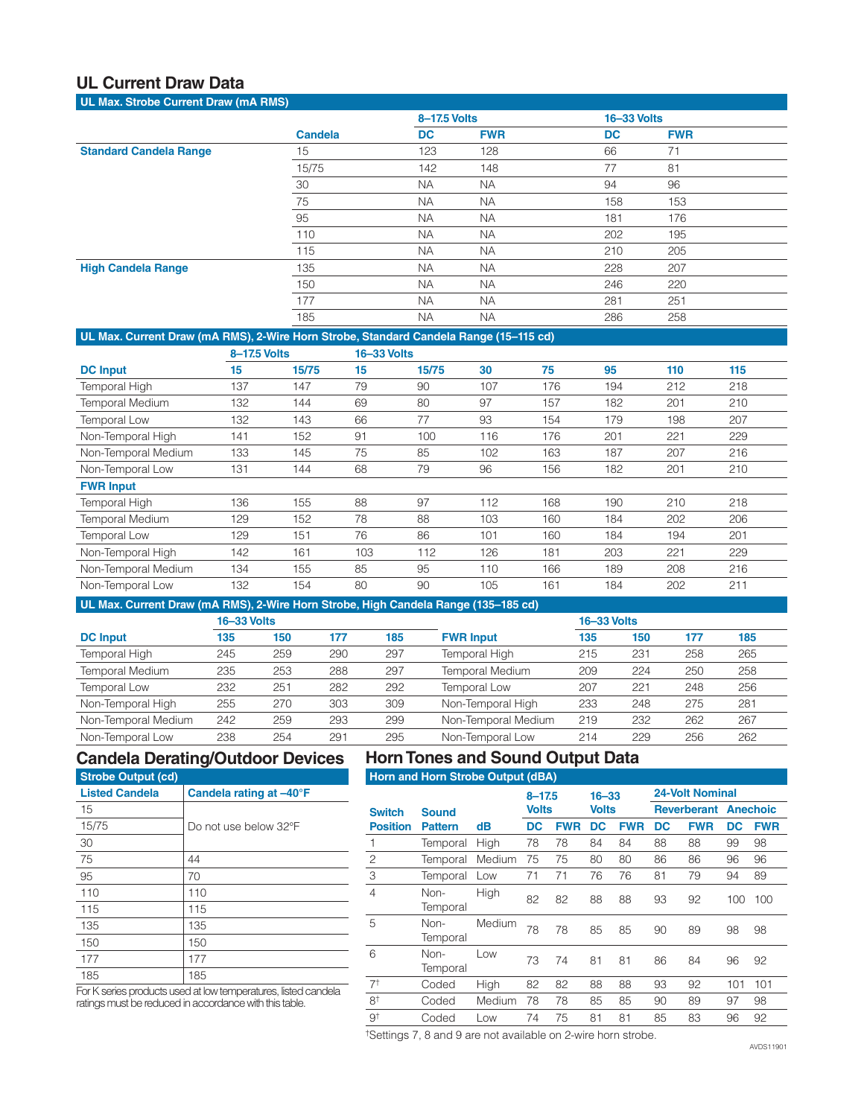### **UL Current Draw Data**

| UL Max. Strobe Current Draw (mA RMS) |                |              |            |                    |            |  |
|--------------------------------------|----------------|--------------|------------|--------------------|------------|--|
|                                      |                | 8-17.5 Volts |            | <b>16-33 Volts</b> |            |  |
|                                      | <b>Candela</b> | <b>DC</b>    | <b>FWR</b> | <b>DC</b>          | <b>FWR</b> |  |
| <b>Standard Candela Range</b>        | 15             | 123          | 128        | 66                 | 71         |  |
|                                      | 15/75          | 142          | 148        | 77                 | 81         |  |
|                                      | 30             | <b>NA</b>    | <b>NA</b>  | 94                 | 96         |  |
|                                      | 75             | <b>NA</b>    | <b>NA</b>  | 158                | 153        |  |
|                                      | 95             | <b>NA</b>    | <b>NA</b>  | 181                | 176        |  |
|                                      | 110            | <b>NA</b>    | <b>NA</b>  | 202                | 195        |  |
|                                      | 115            | <b>NA</b>    | <b>NA</b>  | 210                | 205        |  |
| <b>High Candela Range</b>            | 135            | <b>NA</b>    | <b>NA</b>  | 228                | 207        |  |
|                                      | 150            | <b>NA</b>    | <b>NA</b>  | 246                | 220        |  |
|                                      | 177            | <b>NA</b>    | <b>NA</b>  | 281                | 251        |  |
|                                      | 185            | <b>NA</b>    | <b>NA</b>  | 286                | 258        |  |

#### **UL Max. Current Draw (mA RMS), 2-Wire Horn Strobe, Standard Candela Range (15–115 cd)**

|                        | 8-17.5 Volts |       |     | <b>16-33 Volts</b> |     |     |     |     |     |
|------------------------|--------------|-------|-----|--------------------|-----|-----|-----|-----|-----|
| <b>DC</b> Input        | 15           | 15/75 | 15  | 15/75              | 30  | 75  | 95  | 110 | 115 |
| Temporal High          | 137          | 147   | 79  | 90                 | 107 | 176 | 194 | 212 | 218 |
| <b>Temporal Medium</b> | 132          | 144   | 69  | 80                 | 97  | 157 | 182 | 201 | 210 |
| Temporal Low           | 132          | 143   | 66  | 77                 | 93  | 154 | 179 | 198 | 207 |
| Non-Temporal High      | 141          | 152   | 91  | 100                | 116 | 176 | 201 | 221 | 229 |
| Non-Temporal Medium    | 133          | 145   | 75  | 85                 | 102 | 163 | 187 | 207 | 216 |
| Non-Temporal Low       | 131          | 144   | 68  | 79                 | 96  | 156 | 182 | 201 | 210 |
| <b>FWR Input</b>       |              |       |     |                    |     |     |     |     |     |
| <b>Temporal High</b>   | 136          | 155   | 88  | 97                 | 112 | 168 | 190 | 210 | 218 |
| <b>Temporal Medium</b> | 129          | 152   | 78  | 88                 | 103 | 160 | 184 | 202 | 206 |
| Temporal Low           | 129          | 151   | 76  | 86                 | 101 | 160 | 184 | 194 | 201 |
| Non-Temporal High      | 142          | 161   | 103 | 112                | 126 | 181 | 203 | 221 | 229 |
| Non-Temporal Medium    | 134          | 155   | 85  | 95                 | 110 | 166 | 189 | 208 | 216 |
| Non-Temporal Low       | 132          | 154   | 80  | 90                 | 105 | 161 | 184 | 202 | 211 |

#### **UL Max. Current Draw (mA RMS), 2-Wire Horn Strobe, High Candela Range (135–185 cd)**

|                        | <b>16-33 Volts</b> |     |     |     |                        | <b>16-33 Volts</b> |     |     |     |
|------------------------|--------------------|-----|-----|-----|------------------------|--------------------|-----|-----|-----|
| <b>DC</b> Input        | 135                | 150 | 177 | 185 | <b>FWR Input</b>       | 135                | 150 | 177 | 185 |
| Temporal High          | 245                | 259 | 290 | 297 | Temporal High          | 215                | 231 | 258 | 265 |
| <b>Temporal Medium</b> | 235                | 253 | 288 | 297 | <b>Temporal Medium</b> | 209                | 224 | 250 | 258 |
| Temporal Low           | 232                | 251 | 282 | 292 | Temporal Low           | 207                | 221 | 248 | 256 |
| Non-Temporal High      | 255                | 270 | 303 | 309 | Non-Temporal High      | 233                | 248 | 275 | 281 |
| Non-Temporal Medium    | 242                | 259 | 293 | 299 | Non-Temporal Medium    | 219                | 232 | 262 | 267 |
| Non-Temporal Low       | 238                | 254 | 291 | 295 | Non-Temporal Low       | 214                | 229 | 256 | 262 |
|                        |                    |     |     |     |                        |                    |     |     |     |

### **Candela Derating/Outdoor Devices**

## **Horn Tones and Sound Output Data**

| <b>Strobe Output (cd)</b> |                         |  |  |  |  |  |  |
|---------------------------|-------------------------|--|--|--|--|--|--|
| <b>Listed Candela</b>     | Candela rating at -40°F |  |  |  |  |  |  |
| 15                        |                         |  |  |  |  |  |  |
| 15/75                     | Do not use below 32°F   |  |  |  |  |  |  |
| 30                        |                         |  |  |  |  |  |  |
| 75                        | 44                      |  |  |  |  |  |  |
| 95                        | 70                      |  |  |  |  |  |  |
| 110                       | 110                     |  |  |  |  |  |  |
| 115                       | 115                     |  |  |  |  |  |  |
| 135                       | 135                     |  |  |  |  |  |  |
| 150                       | 150                     |  |  |  |  |  |  |
| 177                       | 177                     |  |  |  |  |  |  |
| 185                       | 185                     |  |  |  |  |  |  |

**Horn and Horn Strobe Output (dBA)**

|                 |                  |        | $8 - 17.5$   |            | $16 - 33$    |            | <b>24-Volt Nominal</b> |                    |     |                 |  |
|-----------------|------------------|--------|--------------|------------|--------------|------------|------------------------|--------------------|-----|-----------------|--|
| <b>Switch</b>   | <b>Sound</b>     |        | <b>Volts</b> |            | <b>Volts</b> |            |                        | <b>Reverberant</b> |     | <b>Anechoic</b> |  |
| <b>Position</b> | <b>Pattern</b>   | dB     | DC           | <b>FWR</b> | DC           | <b>FWR</b> | DC                     | <b>FWR</b>         | DC  | <b>FWR</b>      |  |
| 1               | Temporal         | High   | 78           | 78         | 84           | 84         | 88                     | 88                 | 99  | 98              |  |
| $\overline{c}$  | Temporal         | Medium | 75           | 75         | 80           | 80         | 86                     | 86                 | 96  | 96              |  |
| 3               | Temporal         | Low    | 71           | 71         | 76           | 76         | 81                     | 79                 | 94  | 89              |  |
| $\overline{4}$  | Non-<br>Temporal | High   | 82           | 82         | 88           | 88         | 93                     | 92                 | 100 | 100             |  |
| 5               | Non-<br>Temporal | Medium | 78           | 78         | 85           | 85         | 90                     | 89                 | 98  | 98              |  |
| 6               | Non-<br>Temporal | Low    | 73           | 74         | 81           | 81         | 86                     | 84                 | 96  | 92              |  |
| 7 <sup>†</sup>  | Coded            | High   | 82           | 82         | 88           | 88         | 93                     | 92                 | 101 | 101             |  |
| 8 <sup>†</sup>  | Coded            | Medium | 78           | 78         | 85           | 85         | 90                     | 89                 | 97  | 98              |  |
| 9†              | Coded            | Low    | 74           | 75         | 81           | 81         | 85                     | 83                 | 96  | 92              |  |

For K series products used at low temperatures, listed candela ratings must be reduced in accordance with this table.

†Settings 7, 8 and 9 are not available on 2-wire horn strobe.